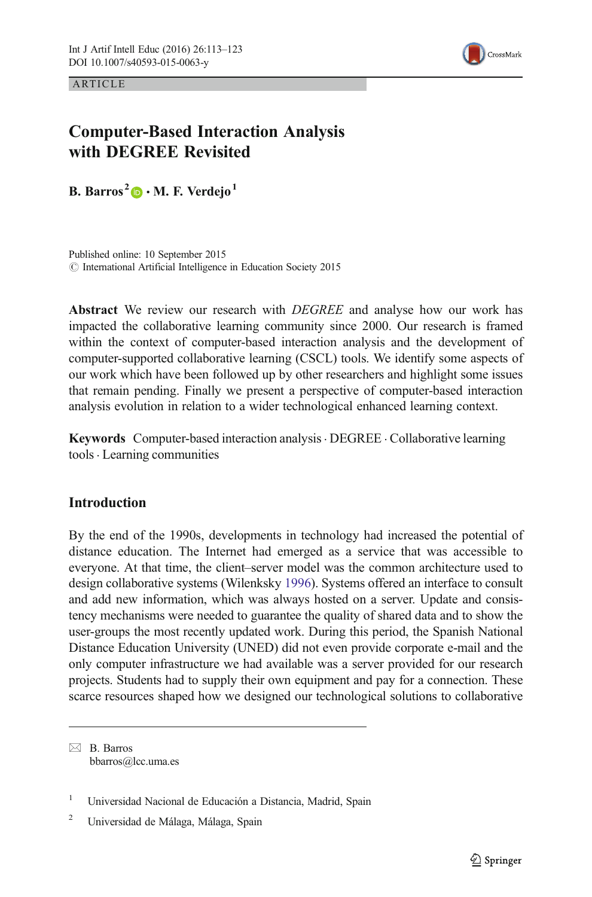

ARTICLE

# Computer-Based Interaction Analysis with DEGREE Revisited

**B.** Barros<sup>2</sup>  $\bullet$  · M. F. Verdejo<sup>1</sup>

Published online: 10 September 2015  $\circ$  International Artificial Intelligence in Education Society 2015

Abstract We review our research with *DEGREE* and analyse how our work has impacted the collaborative learning community since 2000. Our research is framed within the context of computer-based interaction analysis and the development of computer-supported collaborative learning (CSCL) tools. We identify some aspects of our work which have been followed up by other researchers and highlight some issues that remain pending. Finally we present a perspective of computer-based interaction analysis evolution in relation to a wider technological enhanced learning context.

Keywords Computer-based interaction analysis. DEGREE . Collaborative learning tools. Learning communities

# **Introduction**

By the end of the 1990s, developments in technology had increased the potential of distance education. The Internet had emerged as a service that was accessible to everyone. At that time, the client–server model was the common architecture used to design collaborative systems (Wilenksky [1996\)](#page-10-0). Systems offered an interface to consult and add new information, which was always hosted on a server. Update and consistency mechanisms were needed to guarantee the quality of shared data and to show the user-groups the most recently updated work. During this period, the Spanish National Distance Education University (UNED) did not even provide corporate e-mail and the only computer infrastructure we had available was a server provided for our research projects. Students had to supply their own equipment and pay for a connection. These scarce resources shaped how we designed our technological solutions to collaborative

 $\boxtimes$  B. Barros bbarros@lcc.uma.es

<sup>&</sup>lt;sup>1</sup> Universidad Nacional de Educación a Distancia, Madrid, Spain

<sup>2</sup> Universidad de Málaga, Málaga, Spain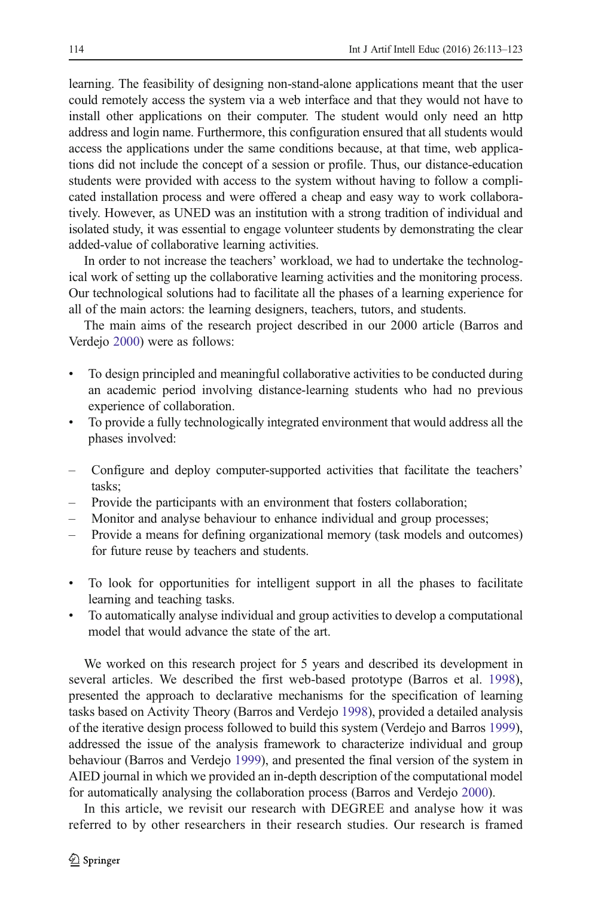learning. The feasibility of designing non-stand-alone applications meant that the user could remotely access the system via a web interface and that they would not have to install other applications on their computer. The student would only need an http address and login name. Furthermore, this configuration ensured that all students would access the applications under the same conditions because, at that time, web applications did not include the concept of a session or profile. Thus, our distance-education students were provided with access to the system without having to follow a complicated installation process and were offered a cheap and easy way to work collaboratively. However, as UNED was an institution with a strong tradition of individual and isolated study, it was essential to engage volunteer students by demonstrating the clear added-value of collaborative learning activities.

In order to not increase the teachers' workload, we had to undertake the technological work of setting up the collaborative learning activities and the monitoring process. Our technological solutions had to facilitate all the phases of a learning experience for all of the main actors: the learning designers, teachers, tutors, and students.

The main aims of the research project described in our 2000 article (Barros and Verdejo [2000\)](#page-8-0) were as follows:

- & To design principled and meaningful collaborative activities to be conducted during an academic period involving distance-learning students who had no previous experience of collaboration.
- & To provide a fully technologically integrated environment that would address all the phases involved:
- Configure and deploy computer-supported activities that facilitate the teachers' tasks;
- Provide the participants with an environment that fosters collaboration;
- Monitor and analyse behaviour to enhance individual and group processes;
- Provide a means for defining organizational memory (task models and outcomes) for future reuse by teachers and students.
- & To look for opportunities for intelligent support in all the phases to facilitate learning and teaching tasks.
- & To automatically analyse individual and group activities to develop a computational model that would advance the state of the art.

We worked on this research project for 5 years and described its development in several articles. We described the first web-based prototype (Barros et al. [1998\)](#page-8-0), presented the approach to declarative mechanisms for the specification of learning tasks based on Activity Theory (Barros and Verdejo [1998](#page-8-0)), provided a detailed analysis of the iterative design process followed to build this system (Verdejo and Barros [1999\)](#page-9-0), addressed the issue of the analysis framework to characterize individual and group behaviour (Barros and Verdejo [1999\)](#page-8-0), and presented the final version of the system in AIED journal in which we provided an in-depth description of the computational model for automatically analysing the collaboration process (Barros and Verdejo [2000](#page-8-0)).

In this article, we revisit our research with DEGREE and analyse how it was referred to by other researchers in their research studies. Our research is framed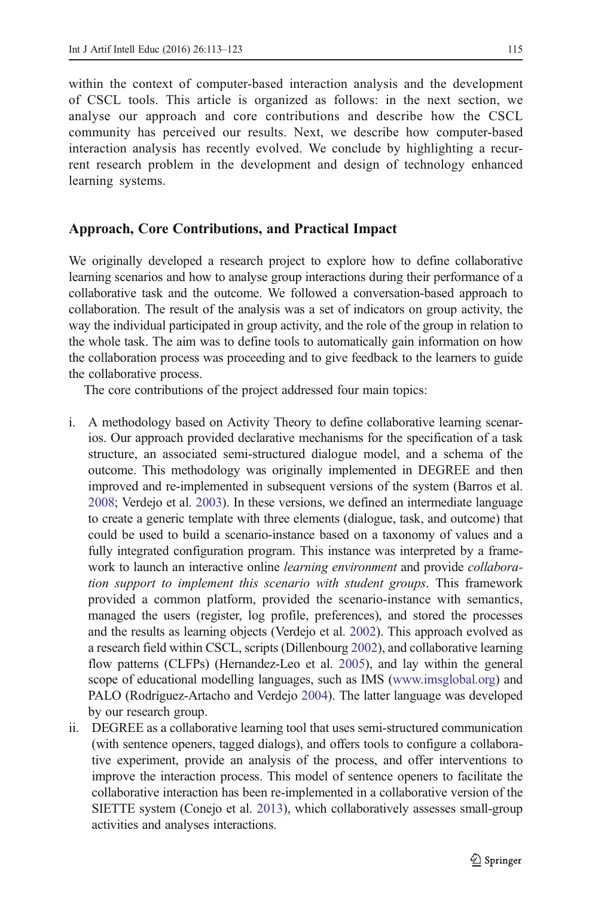within the context of computer-based interaction analysis and the development of CSCL tools. This article is organized as follows: in the next section, we analyse our approach and core contributions and describe how the CSCL community has perceived our results. Next, we describe how computer-based interaction analysis has recently evolved. We conclude by highlighting a recurrent research problem in the development and design of technology enhanced learning systems.

### Approach, Core Contributions, and Practical Impact

We originally developed a research project to explore how to define collaborative learning scenarios and how to analyse group interactions during their performance of a collaborative task and the outcome. We followed a conversation-based approach to collaboration. The result of the analysis was a set of indicators on group activity, the way the individual participated in group activity, and the role of the group in relation to the whole task. The aim was to define tools to automatically gain information on how the collaboration process was proceeding and to give feedback to the learners to guide the collaborative process.

The core contributions of the project addressed four main topics:

- i. A methodology based on Activity Theory to define collaborative learning scenarios. Our approach provided declarative mechanisms for the specification of a task structure, an associated semi-structured dialogue model, and a schema of the outcome. This methodology was originally implemented in DEGREE and then improved and re-implemented in subsequent versions of the system (Barros et al. [2008](#page-8-0); Verdejo et al. [2003\)](#page-10-0). In these versions, we defined an intermediate language to create a generic template with three elements (dialogue, task, and outcome) that could be used to build a scenario-instance based on a taxonomy of values and a fully integrated configuration program. This instance was interpreted by a framework to launch an interactive online *learning environment* and provide *collabora*tion support to implement this scenario with student groups. This framework provided a common platform, provided the scenario-instance with semantics, managed the users (register, log profile, preferences), and stored the processes and the results as learning objects (Verdejo et al. [2002](#page-10-0)). This approach evolved as a research field within CSCL, scripts (Dillenbourg [2002](#page-9-0)), and collaborative learning flow patterns (CLFPs) (Hernandez-Leo et al. [2005](#page-9-0)), and lay within the general scope of educational modelling languages, such as IMS ([www.imsglobal.org\)](http://www.imsglobal.org/) and PALO (Rodríguez-Artacho and Verdejo [2004](#page-9-0)). The latter language was developed by our research group.
- ii. DEGREE as a collaborative learning tool that uses semi-structured communication (with sentence openers, tagged dialogs), and offers tools to configure a collaborative experiment, provide an analysis of the process, and offer interventions to improve the interaction process. This model of sentence openers to facilitate the collaborative interaction has been re-implemented in a collaborative version of the SIETTE system (Conejo et al. [2013](#page-9-0)), which collaboratively assesses small-group activities and analyses interactions.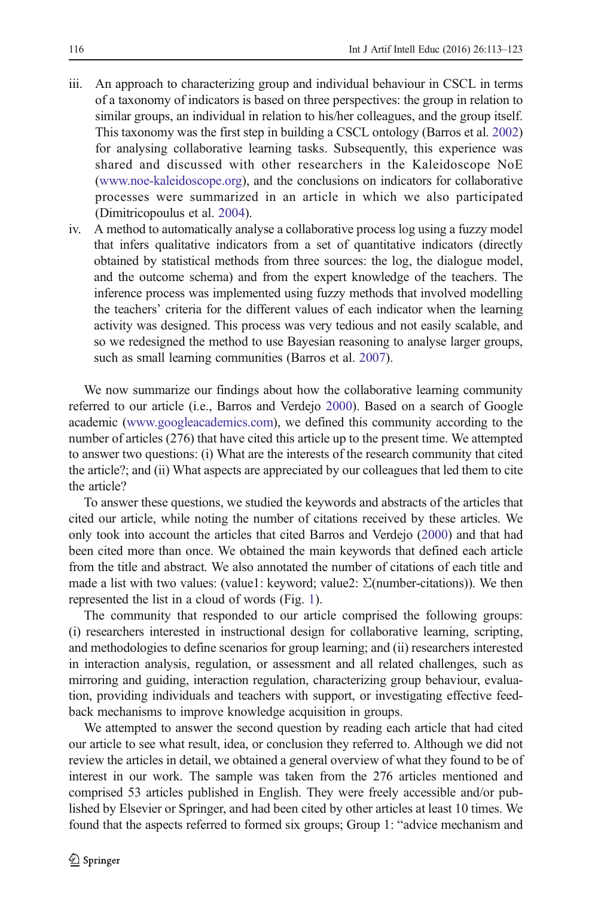- iii. An approach to characterizing group and individual behaviour in CSCL in terms of a taxonomy of indicators is based on three perspectives: the group in relation to similar groups, an individual in relation to his/her colleagues, and the group itself. This taxonomy was the first step in building a CSCL ontology (Barros et al. [2002](#page-8-0)) for analysing collaborative learning tasks. Subsequently, this experience was shared and discussed with other researchers in the Kaleidoscope NoE ([www.noe-kaleidoscope.org\)](http://www.noe-kaleidoscope.org/), and the conclusions on indicators for collaborative processes were summarized in an article in which we also participated (Dimitricopoulus et al. [2004\)](#page-9-0).
- iv. A method to automatically analyse a collaborative process log using a fuzzy model that infers qualitative indicators from a set of quantitative indicators (directly obtained by statistical methods from three sources: the log, the dialogue model, and the outcome schema) and from the expert knowledge of the teachers. The inference process was implemented using fuzzy methods that involved modelling the teachers' criteria for the different values of each indicator when the learning activity was designed. This process was very tedious and not easily scalable, and so we redesigned the method to use Bayesian reasoning to analyse larger groups, such as small learning communities (Barros et al. [2007](#page-8-0)).

We now summarize our findings about how the collaborative learning community referred to our article (i.e., Barros and Verdejo [2000\)](#page-8-0). Based on a search of Google academic [\(www.googleacademics.com\)](http://www.googleacademics.com/), we defined this community according to the number of articles (276) that have cited this article up to the present time. We attempted to answer two questions: (i) What are the interests of the research community that cited the article?; and (ii) What aspects are appreciated by our colleagues that led them to cite the article?

To answer these questions, we studied the keywords and abstracts of the articles that cited our article, while noting the number of citations received by these articles. We only took into account the articles that cited Barros and Verdejo [\(2000\)](#page-8-0) and that had been cited more than once. We obtained the main keywords that defined each article from the title and abstract. We also annotated the number of citations of each title and made a list with two values: (value1: keyword; value2:  $\Sigma$ (number-citations)). We then represented the list in a cloud of words (Fig. [1\)](#page-4-0).

The community that responded to our article comprised the following groups: (i) researchers interested in instructional design for collaborative learning, scripting, and methodologies to define scenarios for group learning; and (ii) researchers interested in interaction analysis, regulation, or assessment and all related challenges, such as mirroring and guiding, interaction regulation, characterizing group behaviour, evaluation, providing individuals and teachers with support, or investigating effective feedback mechanisms to improve knowledge acquisition in groups.

We attempted to answer the second question by reading each article that had cited our article to see what result, idea, or conclusion they referred to. Although we did not review the articles in detail, we obtained a general overview of what they found to be of interest in our work. The sample was taken from the 276 articles mentioned and comprised 53 articles published in English. They were freely accessible and/or published by Elsevier or Springer, and had been cited by other articles at least 10 times. We found that the aspects referred to formed six groups; Group 1: "advice mechanism and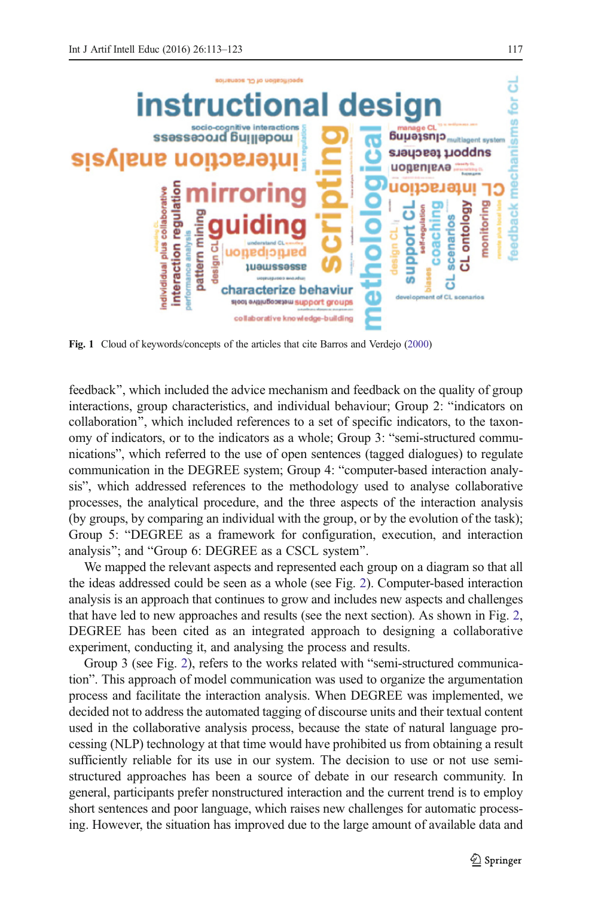<span id="page-4-0"></span>

Fig. 1 Cloud of keywords/concepts of the articles that cite Barros and Verdejo ([2000](#page-8-0))

feedback^, which included the advice mechanism and feedback on the quality of group interactions, group characteristics, and individual behaviour; Group 2: "indicators on collaboration", which included references to a set of specific indicators, to the taxonomy of indicators, or to the indicators as a whole; Group 3: "semi-structured communications", which referred to the use of open sentences (tagged dialogues) to regulate communication in the DEGREE system; Group 4: "computer-based interaction analysis", which addressed references to the methodology used to analyse collaborative processes, the analytical procedure, and the three aspects of the interaction analysis (by groups, by comparing an individual with the group, or by the evolution of the task); Group 5: "DEGREE as a framework for configuration, execution, and interaction analysis"; and "Group 6: DEGREE as a CSCL system".

We mapped the relevant aspects and represented each group on a diagram so that all the ideas addressed could be seen as a whole (see Fig. [2](#page-5-0)). Computer-based interaction analysis is an approach that continues to grow and includes new aspects and challenges that have led to new approaches and results (see the next section). As shown in Fig. [2,](#page-5-0) DEGREE has been cited as an integrated approach to designing a collaborative experiment, conducting it, and analysing the process and results.

Group 3 (see Fig. [2](#page-5-0)), refers to the works related with "semi-structured communication". This approach of model communication was used to organize the argumentation process and facilitate the interaction analysis. When DEGREE was implemented, we decided not to address the automated tagging of discourse units and their textual content used in the collaborative analysis process, because the state of natural language processing (NLP) technology at that time would have prohibited us from obtaining a result sufficiently reliable for its use in our system. The decision to use or not use semistructured approaches has been a source of debate in our research community. In general, participants prefer nonstructured interaction and the current trend is to employ short sentences and poor language, which raises new challenges for automatic processing. However, the situation has improved due to the large amount of available data and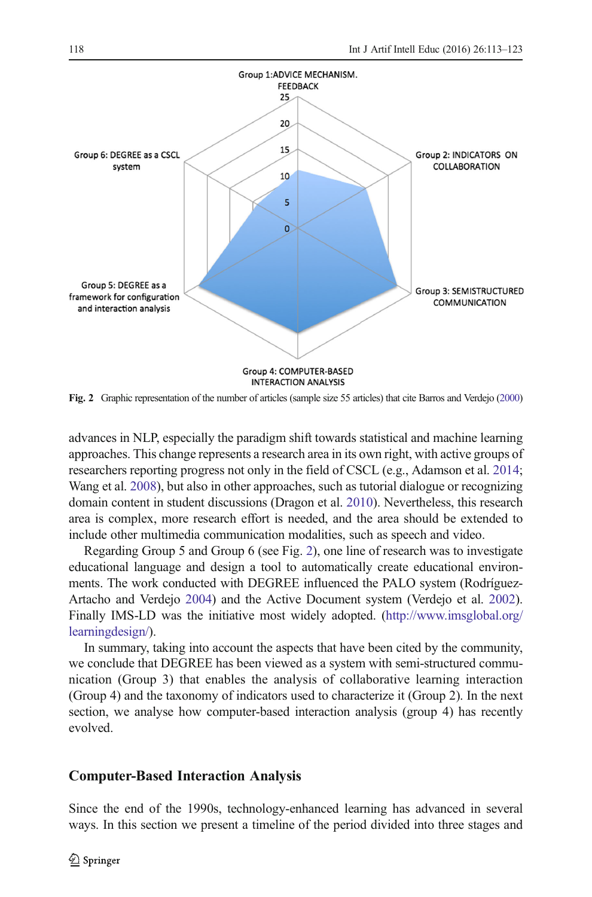<span id="page-5-0"></span>

Fig. 2 Graphic representation of the number of articles (sample size 55 articles) that cite Barros and Verdejo [\(2000\)](#page-8-0)

advances in NLP, especially the paradigm shift towards statistical and machine learning approaches. This change represents a research area in its own right, with active groups of researchers reporting progress not only in the field of CSCL (e.g., Adamson et al. [2014;](#page-8-0) Wang et al. [2008](#page-10-0)), but also in other approaches, such as tutorial dialogue or recognizing domain content in student discussions (Dragon et al. [2010\)](#page-9-0). Nevertheless, this research area is complex, more research effort is needed, and the area should be extended to include other multimedia communication modalities, such as speech and video.

Regarding Group 5 and Group 6 (see Fig. 2), one line of research was to investigate educational language and design a tool to automatically create educational environments. The work conducted with DEGREE influenced the PALO system (Rodríguez-Artacho and Verdejo [2004](#page-9-0)) and the Active Document system (Verdejo et al. [2002\)](#page-10-0). Finally IMS-LD was the initiative most widely adopted. ([http://www.imsglobal.org/](http://www.imsglobal.org/learningdesign/) [learningdesign/](http://www.imsglobal.org/learningdesign/)).

In summary, taking into account the aspects that have been cited by the community, we conclude that DEGREE has been viewed as a system with semi-structured communication (Group 3) that enables the analysis of collaborative learning interaction (Group 4) and the taxonomy of indicators used to characterize it (Group 2). In the next section, we analyse how computer-based interaction analysis (group 4) has recently evolved.

#### Computer-Based Interaction Analysis

Since the end of the 1990s, technology-enhanced learning has advanced in several ways. In this section we present a timeline of the period divided into three stages and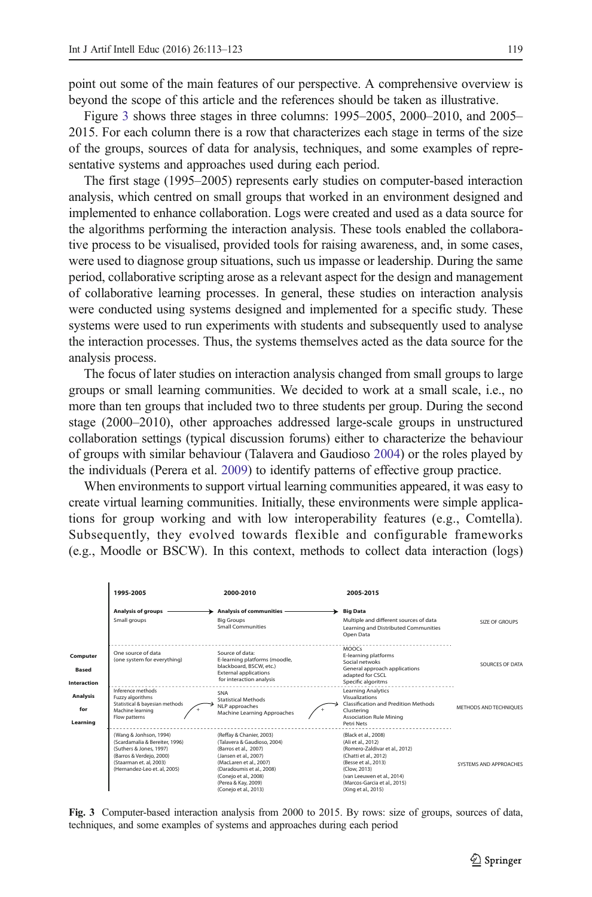<span id="page-6-0"></span>point out some of the main features of our perspective. A comprehensive overview is beyond the scope of this article and the references should be taken as illustrative.

Figure 3 shows three stages in three columns: 1995–2005, 2000–2010, and 2005– 2015. For each column there is a row that characterizes each stage in terms of the size of the groups, sources of data for analysis, techniques, and some examples of representative systems and approaches used during each period.

The first stage (1995–2005) represents early studies on computer-based interaction analysis, which centred on small groups that worked in an environment designed and implemented to enhance collaboration. Logs were created and used as a data source for the algorithms performing the interaction analysis. These tools enabled the collaborative process to be visualised, provided tools for raising awareness, and, in some cases, were used to diagnose group situations, such us impasse or leadership. During the same period, collaborative scripting arose as a relevant aspect for the design and management of collaborative learning processes. In general, these studies on interaction analysis were conducted using systems designed and implemented for a specific study. These systems were used to run experiments with students and subsequently used to analyse the interaction processes. Thus, the systems themselves acted as the data source for the analysis process.

The focus of later studies on interaction analysis changed from small groups to large groups or small learning communities. We decided to work at a small scale, i.e., no more than ten groups that included two to three students per group. During the second stage (2000–2010), other approaches addressed large-scale groups in unstructured collaboration settings (typical discussion forums) either to characterize the behaviour of groups with similar behaviour (Talavera and Gaudioso [2004](#page-9-0)) or the roles played by the individuals (Perera et al. [2009\)](#page-9-0) to identify patterns of effective group practice.

When environments to support virtual learning communities appeared, it was easy to create virtual learning communities. Initially, these environments were simple applications for group working and with low interoperability features (e.g., Comtella). Subsequently, they evolved towards flexible and configurable frameworks (e.g., Moodle or BSCW). In this context, methods to collect data interaction (logs)

|                                                                               | 1995-2005                                                                                                                                                                  | 2000-2010                                                                                                                                                                                                                                  | 2005-2015                                                                                                                                                                                                                                                                       |                                           |
|-------------------------------------------------------------------------------|----------------------------------------------------------------------------------------------------------------------------------------------------------------------------|--------------------------------------------------------------------------------------------------------------------------------------------------------------------------------------------------------------------------------------------|---------------------------------------------------------------------------------------------------------------------------------------------------------------------------------------------------------------------------------------------------------------------------------|-------------------------------------------|
|                                                                               | <b>Analysis of groups</b><br>Small groups                                                                                                                                  | <b>Analysis of communities</b><br><b>Big Groups</b><br><b>Small Communities</b>                                                                                                                                                            | <b>Big Data</b><br>Multiple and different sources of data<br>Learning and Distributed Communities<br>Open Data                                                                                                                                                                  | SIZE OF GROUPS                            |
| Computer<br><b>Based</b><br>Interaction<br><b>Analysis</b><br>for<br>Learning | One source of data<br>(one system for everything)<br>Inference methods<br>Fuzzy algorithms<br>Statistical & bavesian methods<br>Machine learning<br>Flow patterns          | Source of data:<br>E-learning platforms (moodle,<br>blackboard, BSCW, etc.)<br><b>External applications</b><br>for interaction analysis<br><b>SNA</b><br><b>Statistical Methods</b><br>NLP approaches<br>Machine Learning Approaches       | MOOCs<br>E-learning platforms<br>Social netwoks<br>General approach applications<br>adapted for CSCL<br>Specific algoritms<br><b>Learning Analytics</b><br><b>Visualizations</b><br><b>Classification and Predition Methods</b><br>Clustering<br><b>Association Rule Mining</b> | SOURCES OF DATA<br>METHODS AND TECHNIOUES |
|                                                                               | (Wang & Jonhson, 1994)<br>(Scardamalia & Bereiter, 1996)<br>(Suthers & Jones, 1997)<br>(Barros & Verdejo, 2000)<br>(Staarman et. al. 2003)<br>(Hernandez-Leo et. al. 2005) | (Reffav & Chanier, 2003)<br>(Talavera & Gaudioso, 2004)<br>(Barros et al., 2007)<br>(Jansen et al., 2007)<br>(MacLaren et al., 2007)<br>(Daradoumis et al., 2008)<br>(Conejo et al., 2008)<br>(Perea & Kav. 2009)<br>(Conejo et al., 2013) | Petri Nets<br>(Black et al., 2008)<br>(Ali et al., 2012)<br>(Romero-Zaldivar et al., 2012)<br>(Chatti et al., 2012)<br>(Besse et al., 2013)<br>(Clow, 2013)<br>(van Leeuwen et al., 2014)<br>(Marcos-Garcia et al., 2015)<br>(Xing et al., 2015)                                | SYSTEMS AND APPROACHES                    |

Fig. 3 Computer-based interaction analysis from 2000 to 2015. By rows: size of groups, sources of data, techniques, and some examples of systems and approaches during each period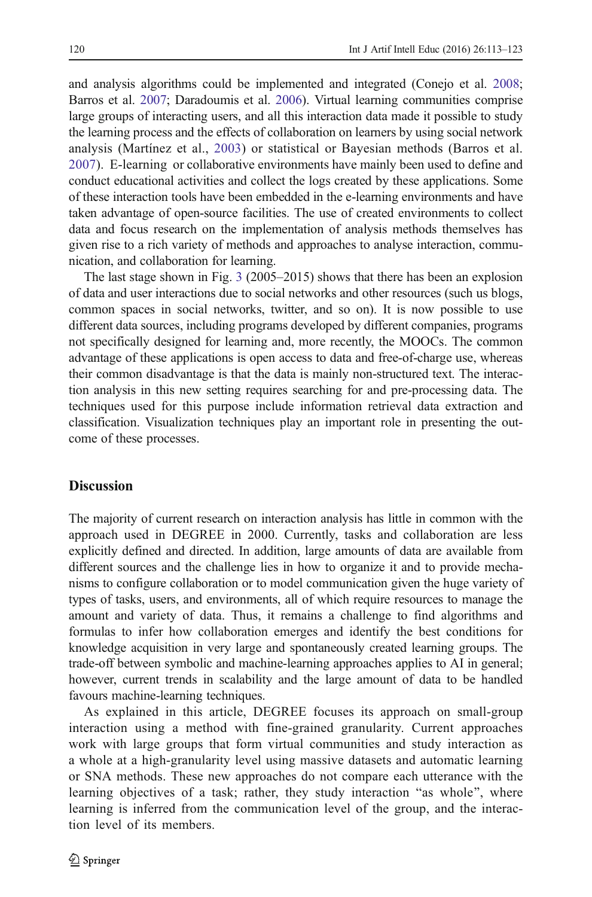and analysis algorithms could be implemented and integrated (Conejo et al. [2008;](#page-9-0) Barros et al. [2007;](#page-8-0) Daradoumis et al. [2006](#page-9-0)). Virtual learning communities comprise large groups of interacting users, and all this interaction data made it possible to study the learning process and the effects of collaboration on learners by using social network analysis (Martínez et al., [2003](#page-9-0)) or statistical or Bayesian methods (Barros et al. [2007](#page-8-0)). E-learning or collaborative environments have mainly been used to define and conduct educational activities and collect the logs created by these applications. Some of these interaction tools have been embedded in the e-learning environments and have taken advantage of open-source facilities. The use of created environments to collect data and focus research on the implementation of analysis methods themselves has given rise to a rich variety of methods and approaches to analyse interaction, communication, and collaboration for learning.

The last stage shown in Fig. [3](#page-6-0) (2005–2015) shows that there has been an explosion of data and user interactions due to social networks and other resources (such us blogs, common spaces in social networks, twitter, and so on). It is now possible to use different data sources, including programs developed by different companies, programs not specifically designed for learning and, more recently, the MOOCs. The common advantage of these applications is open access to data and free-of-charge use, whereas their common disadvantage is that the data is mainly non-structured text. The interaction analysis in this new setting requires searching for and pre-processing data. The techniques used for this purpose include information retrieval data extraction and classification. Visualization techniques play an important role in presenting the outcome of these processes.

## **Discussion**

The majority of current research on interaction analysis has little in common with the approach used in DEGREE in 2000. Currently, tasks and collaboration are less explicitly defined and directed. In addition, large amounts of data are available from different sources and the challenge lies in how to organize it and to provide mechanisms to configure collaboration or to model communication given the huge variety of types of tasks, users, and environments, all of which require resources to manage the amount and variety of data. Thus, it remains a challenge to find algorithms and formulas to infer how collaboration emerges and identify the best conditions for knowledge acquisition in very large and spontaneously created learning groups. The trade-off between symbolic and machine-learning approaches applies to AI in general; however, current trends in scalability and the large amount of data to be handled favours machine-learning techniques.

As explained in this article, DEGREE focuses its approach on small-group interaction using a method with fine-grained granularity. Current approaches work with large groups that form virtual communities and study interaction as a whole at a high-granularity level using massive datasets and automatic learning or SNA methods. These new approaches do not compare each utterance with the learning objectives of a task; rather, they study interaction "as whole", where learning is inferred from the communication level of the group, and the interaction level of its members.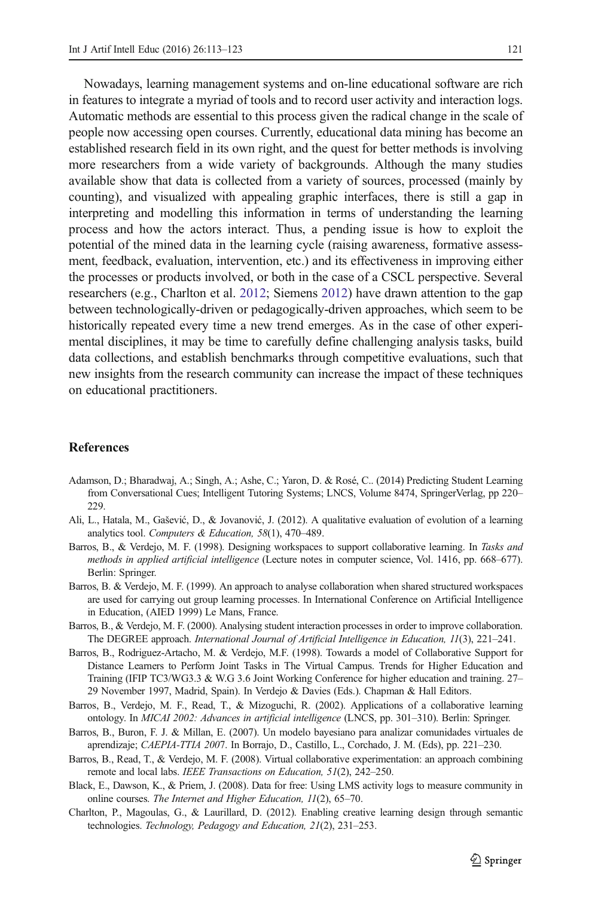<span id="page-8-0"></span>Nowadays, learning management systems and on-line educational software are rich in features to integrate a myriad of tools and to record user activity and interaction logs. Automatic methods are essential to this process given the radical change in the scale of people now accessing open courses. Currently, educational data mining has become an established research field in its own right, and the quest for better methods is involving more researchers from a wide variety of backgrounds. Although the many studies available show that data is collected from a variety of sources, processed (mainly by counting), and visualized with appealing graphic interfaces, there is still a gap in interpreting and modelling this information in terms of understanding the learning process and how the actors interact. Thus, a pending issue is how to exploit the potential of the mined data in the learning cycle (raising awareness, formative assessment, feedback, evaluation, intervention, etc.) and its effectiveness in improving either the processes or products involved, or both in the case of a CSCL perspective. Several researchers (e.g., Charlton et al. 2012; Siemens [2012](#page-9-0)) have drawn attention to the gap between technologically-driven or pedagogically-driven approaches, which seem to be historically repeated every time a new trend emerges. As in the case of other experimental disciplines, it may be time to carefully define challenging analysis tasks, build data collections, and establish benchmarks through competitive evaluations, such that new insights from the research community can increase the impact of these techniques on educational practitioners.

#### References

- Adamson, D.; Bharadwaj, A.; Singh, A.; Ashe, C.; Yaron, D. & Rosé, C.. (2014) Predicting Student Learning from Conversational Cues; Intelligent Tutoring Systems; LNCS, Volume 8474, SpringerVerlag, pp 220– 229.
- Ali, L., Hatala, M., Gašević, D., & Jovanović, J. (2012). A qualitative evaluation of evolution of a learning analytics tool. Computers & Education, 58(1), 470–489.
- Barros, B., & Verdejo, M. F. (1998). Designing workspaces to support collaborative learning. In Tasks and methods in applied artificial intelligence (Lecture notes in computer science, Vol. 1416, pp. 668–677). Berlin: Springer.
- Barros, B. & Verdejo, M. F. (1999). An approach to analyse collaboration when shared structured workspaces are used for carrying out group learning processes. In International Conference on Artificial Intelligence in Education, (AIED 1999) Le Mans, France.
- Barros, B., & Verdejo, M. F. (2000). Analysing student interaction processes in order to improve collaboration. The DEGREE approach. International Journal of Artificial Intelligence in Education, 11(3), 221–241.
- Barros, B., Rodriguez-Artacho, M. & Verdejo, M.F. (1998). Towards a model of Collaborative Support for Distance Learners to Perform Joint Tasks in The Virtual Campus. Trends for Higher Education and Training (IFIP TC3/WG3.3 & W.G 3.6 Joint Working Conference for higher education and training. 27– 29 November 1997, Madrid, Spain). In Verdejo & Davies (Eds.). Chapman & Hall Editors.
- Barros, B., Verdejo, M. F., Read, T., & Mizoguchi, R. (2002). Applications of a collaborative learning ontology. In MICAI 2002: Advances in artificial intelligence (LNCS, pp. 301–310). Berlin: Springer.
- Barros, B., Buron, F. J. & Millan, E. (2007). Un modelo bayesiano para analizar comunidades virtuales de aprendizaje; CAEPIA-TTIA 2007. In Borrajo, D., Castillo, L., Corchado, J. M. (Eds), pp. 221–230.
- Barros, B., Read, T., & Verdejo, M. F. (2008). Virtual collaborative experimentation: an approach combining remote and local labs. IEEE Transactions on Education, 51(2), 242-250.
- Black, E., Dawson, K., & Priem, J. (2008). Data for free: Using LMS activity logs to measure community in online courses. The Internet and Higher Education, 11(2), 65–70.
- Charlton, P., Magoulas, G., & Laurillard, D. (2012). Enabling creative learning design through semantic technologies. Technology, Pedagogy and Education, 21(2), 231–253.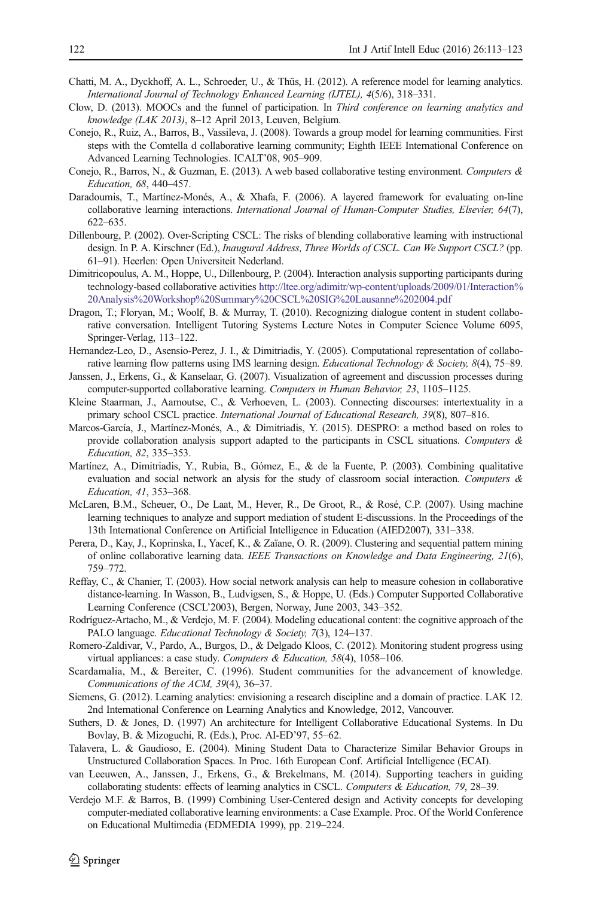- <span id="page-9-0"></span>Chatti, M. A., Dyckhoff, A. L., Schroeder, U., & Thüs, H. (2012). A reference model for learning analytics. International Journal of Technology Enhanced Learning (IJTEL), 4(5/6), 318–331.
- Clow, D. (2013). MOOCs and the funnel of participation. In Third conference on learning analytics and knowledge (LAK 2013), 8–12 April 2013, Leuven, Belgium.
- Conejo, R., Ruiz, A., Barros, B., Vassileva, J. (2008). Towards a group model for learning communities. First steps with the Comtella d collaborative learning community; Eighth IEEE International Conference on Advanced Learning Technologies. ICALT'08, 905–909.
- Conejo, R., Barros, N., & Guzman, E. (2013). A web based collaborative testing environment. Computers & Education, 68, 440–457.
- Daradoumis, T., Martínez-Monés, A., & Xhafa, F. (2006). A layered framework for evaluating on-line collaborative learning interactions. International Journal of Human-Computer Studies, Elsevier, 64(7), 622–635.
- Dillenbourg, P. (2002). Over-Scripting CSCL: The risks of blending collaborative learning with instructional design. In P. A. Kirschner (Ed.), *Inaugural Address, Three Worlds of CSCL. Can We Support CSCL?* (pp. 61–91). Heerlen: Open Universiteit Nederland.
- Dimitricopoulus, A. M., Hoppe, U., Dillenbourg, P. (2004). Interaction analysis supporting participants during technology-based collaborative activities [http://ltee.org/adimitr/wp-content/uploads/2009/01/Interaction%](http://ltee.org/adimitr/wp-content/uploads/2009/01/Interaction%20Analysis%20Workshop%20Summary%20CSCL%20SIG%20Lausanne%202004.pdf) [20Analysis%20Workshop%20Summary%20CSCL%20SIG%20Lausanne%202004.pdf](http://ltee.org/adimitr/wp-content/uploads/2009/01/Interaction%20Analysis%20Workshop%20Summary%20CSCL%20SIG%20Lausanne%202004.pdf)
- Dragon, T.; Floryan, M.; Woolf, B. & Murray, T. (2010). Recognizing dialogue content in student collaborative conversation. Intelligent Tutoring Systems Lecture Notes in Computer Science Volume 6095, Springer-Verlag, 113–122.
- Hernandez-Leo, D., Asensio-Perez, J. I., & Dimitriadis, Y. (2005). Computational representation of collaborative learning flow patterns using IMS learning design. Educational Technology & Society, 8(4), 75–89.
- Janssen, J., Erkens, G., & Kanselaar, G. (2007). Visualization of agreement and discussion processes during computer-supported collaborative learning. Computers in Human Behavior, 23, 1105–1125.
- Kleine Staarman, J., Aarnoutse, C., & Verhoeven, L. (2003). Connecting discourses: intertextuality in a primary school CSCL practice. International Journal of Educational Research, 39(8), 807–816.
- Marcos-García, J., Martínez-Monés, A., & Dimitriadis, Y. (2015). DESPRO: a method based on roles to provide collaboration analysis support adapted to the participants in CSCL situations. Computers & Education, 82, 335–353.
- Martínez, A., Dimitriadis, Y., Rubia, B., Gómez, E., & de la Fuente, P. (2003). Combining qualitative evaluation and social network an alysis for the study of classroom social interaction. Computers & Education, 41, 353–368.
- McLaren, B.M., Scheuer, O., De Laat, M., Hever, R., De Groot, R., & Rosé, C.P. (2007). Using machine learning techniques to analyze and support mediation of student E-discussions. In the Proceedings of the 13th International Conference on Artificial Intelligence in Education (AIED2007), 331–338.
- Perera, D., Kay, J., Koprinska, I., Yacef, K., & Zaïane, O. R. (2009). Clustering and sequential pattern mining of online collaborative learning data. IEEE Transactions on Knowledge and Data Engineering, 21(6), 759–772.
- Reffay, C., & Chanier, T. (2003). How social network analysis can help to measure cohesion in collaborative distance-learning. In Wasson, B., Ludvigsen, S., & Hoppe, U. (Eds.) Computer Supported Collaborative Learning Conference (CSCL'2003), Bergen, Norway, June 2003, 343–352.
- Rodríguez-Artacho, M., & Verdejo, M. F. (2004). Modeling educational content: the cognitive approach of the PALO language. Educational Technology & Society, 7(3), 124–137.
- Romero-Zaldivar, V., Pardo, A., Burgos, D., & Delgado Kloos, C. (2012). Monitoring student progress using virtual appliances: a case study. Computers & Education, 58(4), 1058–106.
- Scardamalia, M., & Bereiter, C. (1996). Student communities for the advancement of knowledge. Communications of the ACM, 39(4), 36–37.
- Siemens, G. (2012). Learning analytics: envisioning a research discipline and a domain of practice. LAK 12. 2nd International Conference on Learning Analytics and Knowledge, 2012, Vancouver.
- Suthers, D. & Jones, D. (1997) An architecture for Intelligent Collaborative Educational Systems. In Du Bovlay, B. & Mizoguchi, R. (Eds.), Proc. AI-ED'97, 55–62.
- Talavera, L. & Gaudioso, E. (2004). Mining Student Data to Characterize Similar Behavior Groups in Unstructured Collaboration Spaces. In Proc. 16th European Conf. Artificial Intelligence (ECAI).
- van Leeuwen, A., Janssen, J., Erkens, G., & Brekelmans, M. (2014). Supporting teachers in guiding collaborating students: effects of learning analytics in CSCL. Computers & Education, 79, 28–39.
- Verdejo M.F. & Barros, B. (1999) Combining User-Centered design and Activity concepts for developing computer-mediated collaborative learning environments: a Case Example. Proc. Of the World Conference on Educational Multimedia (EDMEDIA 1999), pp. 219–224.